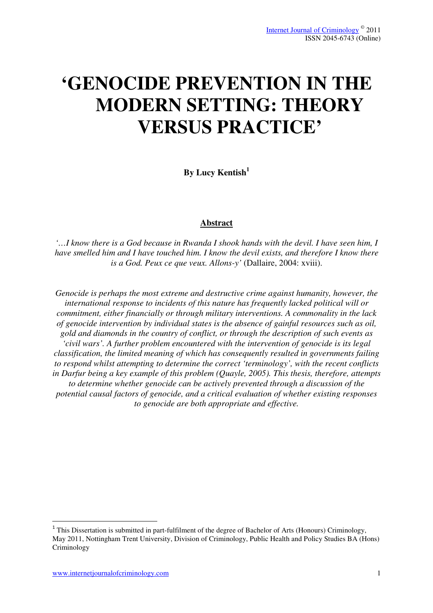# **'GENOCIDE PREVENTION IN THE MODERN SETTING: THEORY VERSUS PRACTICE'**

**By Lucy Kentish<sup>1</sup>**

## **Abstract**

*'…I know there is a God because in Rwanda I shook hands with the devil. I have seen him, I have smelled him and I have touched him. I know the devil exists, and therefore I know there is a God. Peux ce que veux. Allons-y'* (Dallaire, 2004: xviii).

*Genocide is perhaps the most extreme and destructive crime against humanity, however, the international response to incidents of this nature has frequently lacked political will or commitment, either financially or through military interventions. A commonality in the lack of genocide intervention by individual states is the absence of gainful resources such as oil, gold and diamonds in the country of conflict, or through the description of such events as 'civil wars'. A further problem encountered with the intervention of genocide is its legal classification, the limited meaning of which has consequently resulted in governments failing to respond whilst attempting to determine the correct 'terminology', with the recent conflicts in Darfur being a key example of this problem (Quayle, 2005). This thesis, therefore, attempts to determine whether genocide can be actively prevented through a discussion of the potential causal factors of genocide, and a critical evaluation of whether existing responses to genocide are both appropriate and effective.* 

l

<sup>&</sup>lt;sup>1</sup> This Dissertation is submitted in part-fulfilment of the degree of Bachelor of Arts (Honours) Criminology, May 2011, Nottingham Trent University, Division of Criminology, Public Health and Policy Studies BA (Hons) Criminology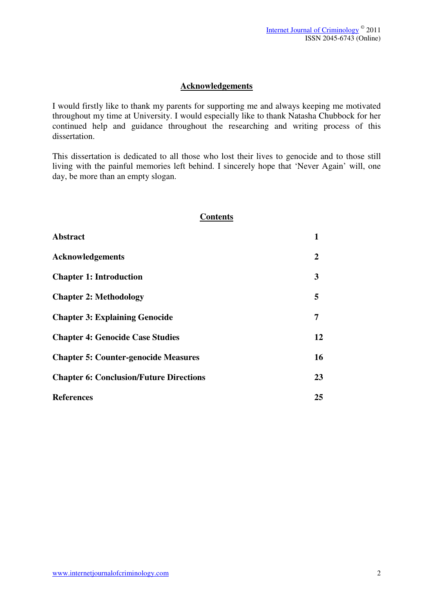## **Acknowledgements**

I would firstly like to thank my parents for supporting me and always keeping me motivated throughout my time at University. I would especially like to thank Natasha Chubbock for her continued help and guidance throughout the researching and writing process of this dissertation.

This dissertation is dedicated to all those who lost their lives to genocide and to those still living with the painful memories left behind. I sincerely hope that 'Never Again' will, one day, be more than an empty slogan.

| <b>Contents</b>                                |                |
|------------------------------------------------|----------------|
| <b>Abstract</b>                                | 1              |
| <b>Acknowledgements</b>                        | $\overline{2}$ |
| <b>Chapter 1: Introduction</b>                 | 3              |
| <b>Chapter 2: Methodology</b>                  | 5              |
| <b>Chapter 3: Explaining Genocide</b>          | 7              |
| <b>Chapter 4: Genocide Case Studies</b>        | 12             |
| <b>Chapter 5: Counter-genocide Measures</b>    | 16             |
| <b>Chapter 6: Conclusion/Future Directions</b> | 23             |
| <b>References</b>                              | 25             |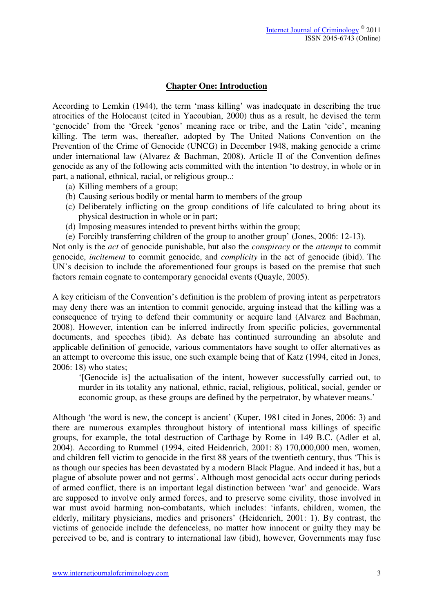## **Chapter One: Introduction**

According to Lemkin (1944), the term 'mass killing' was inadequate in describing the true atrocities of the Holocaust (cited in Yacoubian, 2000) thus as a result, he devised the term 'genocide' from the 'Greek 'genos' meaning race or tribe, and the Latin 'cide', meaning killing. The term was, thereafter, adopted by The United Nations Convention on the Prevention of the Crime of Genocide (UNCG) in December 1948, making genocide a crime under international law (Alvarez & Bachman, 2008). Article II of the Convention defines genocide as any of the following acts committed with the intention 'to destroy, in whole or in part, a national, ethnical, racial, or religious group..:

- (a) Killing members of a group;
- (b) Causing serious bodily or mental harm to members of the group
- (c) Deliberately inflicting on the group conditions of life calculated to bring about its physical destruction in whole or in part;
- (d) Imposing measures intended to prevent births within the group;
- (e) Forcibly transferring children of the group to another group' (Jones, 2006: 12-13).

Not only is the *act* of genocide punishable, but also the *conspiracy* or the *attempt* to commit genocide, *incitement* to commit genocide, and *complicity* in the act of genocide (ibid). The UN's decision to include the aforementioned four groups is based on the premise that such factors remain cognate to contemporary genocidal events (Quayle, 2005).

A key criticism of the Convention's definition is the problem of proving intent as perpetrators may deny there was an intention to commit genocide, arguing instead that the killing was a consequence of trying to defend their community or acquire land (Alvarez and Bachman, 2008). However, intention can be inferred indirectly from specific policies, governmental documents, and speeches (ibid). As debate has continued surrounding an absolute and applicable definition of genocide, various commentators have sought to offer alternatives as an attempt to overcome this issue, one such example being that of Katz (1994, cited in Jones, 2006: 18) who states;

'[Genocide is] the actualisation of the intent, however successfully carried out, to murder in its totality any national, ethnic, racial, religious, political, social, gender or economic group, as these groups are defined by the perpetrator, by whatever means.'

Although 'the word is new, the concept is ancient' (Kuper, 1981 cited in Jones, 2006: 3) and there are numerous examples throughout history of intentional mass killings of specific groups, for example, the total destruction of Carthage by Rome in 149 B.C. (Adler et al, 2004). According to Rummel (1994, cited Heidenrich, 2001: 8) 170,000,000 men, women, and children fell victim to genocide in the first 88 years of the twentieth century, thus 'This is as though our species has been devastated by a modern Black Plague. And indeed it has, but a plague of absolute power and not germs'. Although most genocidal acts occur during periods of armed conflict, there is an important legal distinction between 'war' and genocide. Wars are supposed to involve only armed forces, and to preserve some civility, those involved in war must avoid harming non-combatants, which includes: 'infants, children, women, the elderly, military physicians, medics and prisoners' (Heidenrich, 2001: 1). By contrast, the victims of genocide include the defenceless, no matter how innocent or guilty they may be perceived to be, and is contrary to international law (ibid), however, Governments may fuse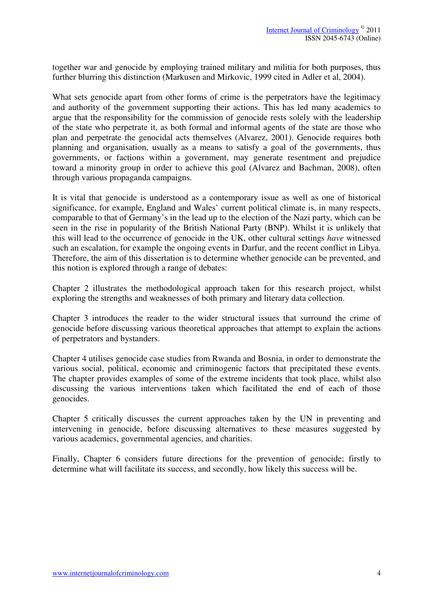together war and genocide by employing trained military and militia for both purposes, thus further blurring this distinction (Markusen and Mirkovic, 1999 cited in Adler et al, 2004).

What sets genocide apart from other forms of crime is the perpetrators have the legitimacy and authority of the government supporting their actions. This has led many academics to argue that the responsibility for the commission of genocide rests solely with the leadership of the state who perpetrate it, as both formal and informal agents of the state are those who plan and perpetrate the genocidal acts themselves (Alvarez, 2001). Genocide requires both planning and organisation, usually as a means to satisfy a goal of the governments, thus governments, or factions within a government, may generate resentment and prejudice toward a minority group in order to achieve this goal (Alvarez and Bachman, 2008), often through various propaganda campaigns.

It is vital that genocide is understood as a contemporary issue as well as one of historical significance, for example, England and Wales' current political climate is, in many respects, comparable to that of Germany's in the lead up to the election of the Nazi party, which can be seen in the rise in popularity of the British National Party (BNP). Whilst it is unlikely that this will lead to the occurrence of genocide in the UK, other cultural settings *have* witnessed such an escalation, for example the ongoing events in Darfur, and the recent conflict in Libya. Therefore, the aim of this dissertation is to determine whether genocide can be prevented, and this notion is explored through a range of debates:

Chapter 2 illustrates the methodological approach taken for this research project, whilst exploring the strengths and weaknesses of both primary and literary data collection.

Chapter 3 introduces the reader to the wider structural issues that surround the crime of genocide before discussing various theoretical approaches that attempt to explain the actions of perpetrators and bystanders.

Chapter 4 utilises genocide case studies from Rwanda and Bosnia, in order to demonstrate the various social, political, economic and criminogenic factors that precipitated these events. The chapter provides examples of some of the extreme incidents that took place, whilst also discussing the various interventions taken which facilitated the end of each of those genocides.

Chapter 5 critically discusses the current approaches taken by the UN in preventing and intervening in genocide, before discussing alternatives to these measures suggested by various academics, governmental agencies, and charities.

Finally, Chapter 6 considers future directions for the prevention of genocide; firstly to determine what will facilitate its success, and secondly, how likely this success will be.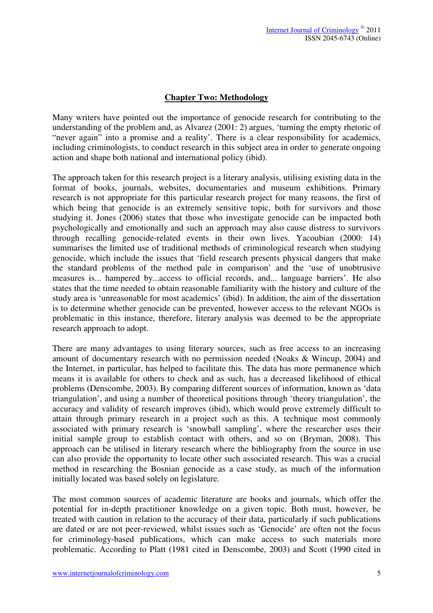# **Chapter Two: Methodology**

Many writers have pointed out the importance of genocide research for contributing to the understanding of the problem and, as Alvarez (2001: 2) argues, 'turning the empty rhetoric of "never again" into a promise and a reality'. There is a clear responsibility for academics, including criminologists, to conduct research in this subject area in order to generate ongoing action and shape both national and international policy (ibid).

The approach taken for this research project is a literary analysis, utilising existing data in the format of books, journals, websites, documentaries and museum exhibitions. Primary research is not appropriate for this particular research project for many reasons, the first of which being that genocide is an extremely sensitive topic, both for survivors and those studying it. Jones (2006) states that those who investigate genocide can be impacted both psychologically and emotionally and such an approach may also cause distress to survivors through recalling genocide-related events in their own lives. Yacoubian (2000: 14) summarises the limited use of traditional methods of criminological research when studying genocide, which include the issues that 'field research presents physical dangers that make the standard problems of the method pale in comparison' and the 'use of unobtrusive measures is... hampered by...access to official records, and... language barriers'. He also states that the time needed to obtain reasonable familiarity with the history and culture of the study area is 'unreasonable for most academics' (ibid). In addition, the aim of the dissertation is to determine whether genocide can be prevented, however access to the relevant NGOs is problematic in this instance, therefore, literary analysis was deemed to be the appropriate research approach to adopt.

There are many advantages to using literary sources, such as free access to an increasing amount of documentary research with no permission needed (Noaks & Wincup, 2004) and the Internet, in particular, has helped to facilitate this. The data has more permanence which means it is available for others to check and as such, has a decreased likelihood of ethical problems (Denscombe, 2003). By comparing different sources of information, known as 'data triangulation', and using a number of theoretical positions through 'theory triangulation', the accuracy and validity of research improves (ibid), which would prove extremely difficult to attain through primary research in a project such as this. A technique most commonly associated with primary research is 'snowball sampling', where the researcher uses their initial sample group to establish contact with others, and so on (Bryman, 2008). This approach can be utilised in literary research where the bibliography from the source in use can also provide the opportunity to locate other such associated research. This was a crucial method in researching the Bosnian genocide as a case study, as much of the information initially located was based solely on legislature.

The most common sources of academic literature are books and journals, which offer the potential for in-depth practitioner knowledge on a given topic. Both must, however, be treated with caution in relation to the accuracy of their data, particularly if such publications are dated or are not peer-reviewed, whilst issues such as 'Genocide' are often not the focus for criminology-based publications, which can make access to such materials more problematic. According to Platt (1981 cited in Denscombe, 2003) and Scott (1990 cited in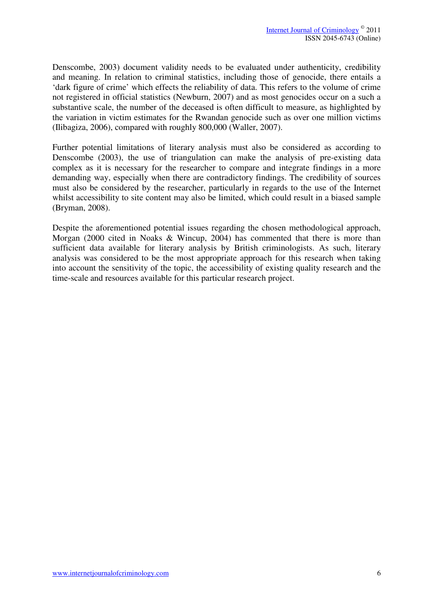Denscombe, 2003) document validity needs to be evaluated under authenticity, credibility and meaning. In relation to criminal statistics, including those of genocide, there entails a 'dark figure of crime' which effects the reliability of data. This refers to the volume of crime not registered in official statistics (Newburn, 2007) and as most genocides occur on a such a substantive scale, the number of the deceased is often difficult to measure, as highlighted by the variation in victim estimates for the Rwandan genocide such as over one million victims (Ilibagiza, 2006), compared with roughly 800,000 (Waller, 2007).

Further potential limitations of literary analysis must also be considered as according to Denscombe (2003), the use of triangulation can make the analysis of pre-existing data complex as it is necessary for the researcher to compare and integrate findings in a more demanding way, especially when there are contradictory findings. The credibility of sources must also be considered by the researcher, particularly in regards to the use of the Internet whilst accessibility to site content may also be limited, which could result in a biased sample (Bryman, 2008).

Despite the aforementioned potential issues regarding the chosen methodological approach, Morgan (2000 cited in Noaks & Wincup, 2004) has commented that there is more than sufficient data available for literary analysis by British criminologists. As such, literary analysis was considered to be the most appropriate approach for this research when taking into account the sensitivity of the topic, the accessibility of existing quality research and the time-scale and resources available for this particular research project.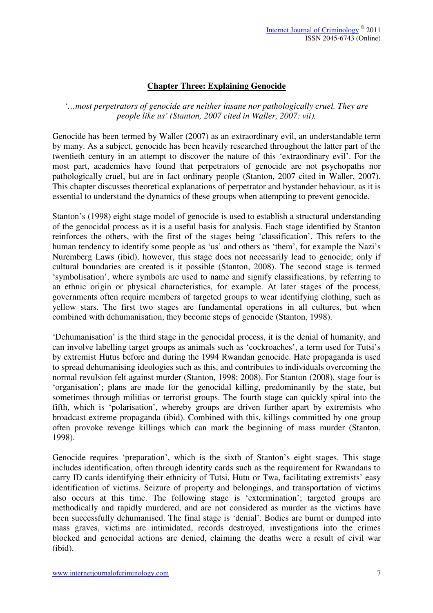# **Chapter Three: Explaining Genocide**

*'…most perpetrators of genocide are neither insane nor pathologically cruel. They are people like us' (Stanton, 2007 cited in Waller, 2007: vii).*

Genocide has been termed by Waller (2007) as an extraordinary evil, an understandable term by many. As a subject, genocide has been heavily researched throughout the latter part of the twentieth century in an attempt to discover the nature of this 'extraordinary evil'. For the most part, academics have found that perpetrators of genocide are not psychopaths nor pathologically cruel, but are in fact ordinary people (Stanton, 2007 cited in Waller, 2007). This chapter discusses theoretical explanations of perpetrator and bystander behaviour, as it is essential to understand the dynamics of these groups when attempting to prevent genocide.

Stanton's (1998) eight stage model of genocide is used to establish a structural understanding of the genocidal process as it is a useful basis for analysis. Each stage identified by Stanton reinforces the others, with the first of the stages being 'classification'. This refers to the human tendency to identify some people as 'us' and others as 'them', for example the Nazi's Nuremberg Laws (ibid), however, this stage does not necessarily lead to genocide; only if cultural boundaries are created is it possible (Stanton, 2008). The second stage is termed 'symbolisation', where symbols are used to name and signify classifications, by referring to an ethnic origin or physical characteristics, for example. At later stages of the process, governments often require members of targeted groups to wear identifying clothing, such as yellow stars. The first two stages are fundamental operations in all cultures, but when combined with dehumanisation, they become steps of genocide (Stanton, 1998).

'Dehumanisation' is the third stage in the genocidal process, it is the denial of humanity, and can involve labelling target groups as animals such as 'cockroaches', a term used for Tutsi's by extremist Hutus before and during the 1994 Rwandan genocide. Hate propaganda is used to spread dehumanising ideologies such as this, and contributes to individuals overcoming the normal revulsion felt against murder (Stanton, 1998; 2008). For Stanton (2008), stage four is 'organisation'; plans are made for the genocidal killing, predominantly by the state, but sometimes through militias or terrorist groups. The fourth stage can quickly spiral into the fifth, which is 'polarisation', whereby groups are driven further apart by extremists who broadcast extreme propaganda (ibid). Combined with this, killings committed by one group often provoke revenge killings which can mark the beginning of mass murder (Stanton, 1998).

Genocide requires 'preparation', which is the sixth of Stanton's eight stages. This stage includes identification, often through identity cards such as the requirement for Rwandans to carry ID cards identifying their ethnicity of Tutsi, Hutu or Twa, facilitating extremists' easy identification of victims. Seizure of property and belongings, and transportation of victims also occurs at this time. The following stage is 'extermination'; targeted groups are methodically and rapidly murdered, and are not considered as murder as the victims have been successfully dehumanised. The final stage is 'denial'. Bodies are burnt or dumped into mass graves, victims are intimidated, records destroyed, investigations into the crimes blocked and genocidal actions are denied, claiming the deaths were a result of civil war (ibid).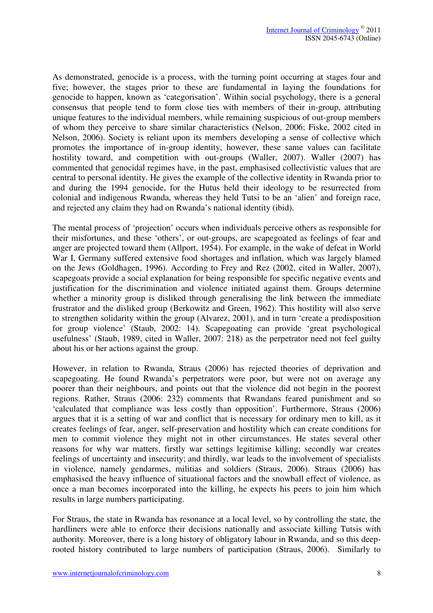As demonstrated, genocide is a process, with the turning point occurring at stages four and five; however, the stages prior to these are fundamental in laying the foundations for genocide to happen, known as 'categorisation'. Within social psychology, there is a general consensus that people tend to form close ties with members of their in-group, attributing unique features to the individual members, while remaining suspicious of out-group members of whom they perceive to share similar characteristics (Nelson, 2006; Fiske, 2002 cited in Nelson, 2006). Society is reliant upon its members developing a sense of collective which promotes the importance of in-group identity, however, these same values can facilitate hostility toward, and competition with out-groups (Waller, 2007). Waller (2007) has commented that genocidal regimes have, in the past, emphasised collectivistic values that are central to personal identity. He gives the example of the collective identity in Rwanda prior to and during the 1994 genocide, for the Hutus held their ideology to be resurrected from colonial and indigenous Rwanda, whereas they held Tutsi to be an 'alien' and foreign race, and rejected any claim they had on Rwanda's national identity (ibid).

The mental process of 'projection' occurs when individuals perceive others as responsible for their misfortunes, and these 'others', or out-groups, are scapegoated as feelings of fear and anger are projected toward them (Allport, 1954). For example, in the wake of defeat in World War I, Germany suffered extensive food shortages and inflation, which was largely blamed on the Jews (Goldhagen, 1996). According to Frey and Rez (2002, cited in Waller, 2007), scapegoats provide a social explanation for being responsible for specific negative events and justification for the discrimination and violence initiated against them. Groups determine whether a minority group is disliked through generalising the link between the immediate frustrator and the disliked group (Berkowitz and Green, 1962). This hostility will also serve to strengthen solidarity within the group (Alvarez, 2001), and in turn 'create a predisposition for group violence' (Staub, 2002: 14). Scapegoating can provide 'great psychological usefulness' (Staub, 1989, cited in Waller, 2007: 218) as the perpetrator need not feel guilty about his or her actions against the group.

However, in relation to Rwanda, Straus (2006) has rejected theories of deprivation and scapegoating. He found Rwanda's perpetrators were poor, but were not on average any poorer than their neighbours, and points out that the violence did not begin in the poorest regions. Rather, Straus (2006: 232) comments that Rwandans feared punishment and so 'calculated that compliance was less costly than opposition'. Furthermore, Straus (2006) argues that it is a setting of war and conflict that is necessary for ordinary men to kill, as it creates feelings of fear, anger, self-preservation and hostility which can create conditions for men to commit violence they might not in other circumstances. He states several other reasons for why war matters, firstly war settings legitimise killing; secondly war creates feelings of uncertainty and insecurity; and thirdly, war leads to the involvement of specialists in violence, namely gendarmes, militias and soldiers (Straus, 2006). Straus (2006) has emphasised the heavy influence of situational factors and the snowball effect of violence, as once a man becomes incorporated into the killing, he expects his peers to join him which results in large numbers participating.

For Straus, the state in Rwanda has resonance at a local level, so by controlling the state, the hardliners were able to enforce their decisions nationally and associate killing Tutsis with authority. Moreover, there is a long history of obligatory labour in Rwanda, and so this deeprooted history contributed to large numbers of participation (Straus, 2006). Similarly to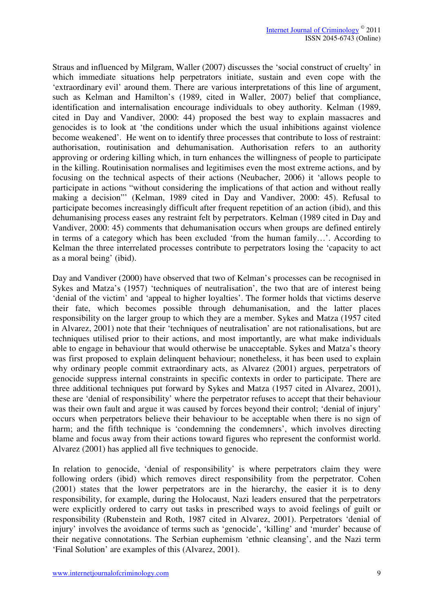Straus and influenced by Milgram, Waller (2007) discusses the 'social construct of cruelty' in which immediate situations help perpetrators initiate, sustain and even cope with the 'extraordinary evil' around them. There are various interpretations of this line of argument, such as Kelman and Hamilton's (1989, cited in Waller, 2007) belief that compliance, identification and internalisation encourage individuals to obey authority. Kelman (1989, cited in Day and Vandiver, 2000: 44) proposed the best way to explain massacres and genocides is to look at 'the conditions under which the usual inhibitions against violence become weakened'. He went on to identify three processes that contribute to loss of restraint: authorisation, routinisation and dehumanisation. Authorisation refers to an authority approving or ordering killing which, in turn enhances the willingness of people to participate in the killing. Routinisation normalises and legitimises even the most extreme actions, and by focusing on the technical aspects of their actions (Neubacher, 2006) it 'allows people to participate in actions "without considering the implications of that action and without really making a decision"' (Kelman, 1989 cited in Day and Vandiver, 2000: 45). Refusal to participate becomes increasingly difficult after frequent repetition of an action (ibid), and this dehumanising process eases any restraint felt by perpetrators. Kelman (1989 cited in Day and Vandiver, 2000: 45) comments that dehumanisation occurs when groups are defined entirely in terms of a category which has been excluded 'from the human family…'. According to Kelman the three interrelated processes contribute to perpetrators losing the 'capacity to act as a moral being' (ibid).

Day and Vandiver (2000) have observed that two of Kelman's processes can be recognised in Sykes and Matza's (1957) 'techniques of neutralisation', the two that are of interest being 'denial of the victim' and 'appeal to higher loyalties'. The former holds that victims deserve their fate, which becomes possible through dehumanisation, and the latter places responsibility on the larger group to which they are a member. Sykes and Matza (1957 cited in Alvarez, 2001) note that their 'techniques of neutralisation' are not rationalisations, but are techniques utilised prior to their actions, and most importantly, are what make individuals able to engage in behaviour that would otherwise be unacceptable. Sykes and Matza's theory was first proposed to explain delinquent behaviour; nonetheless, it has been used to explain why ordinary people commit extraordinary acts, as Alvarez (2001) argues, perpetrators of genocide suppress internal constraints in specific contexts in order to participate. There are three additional techniques put forward by Sykes and Matza (1957 cited in Alvarez, 2001), these are 'denial of responsibility' where the perpetrator refuses to accept that their behaviour was their own fault and argue it was caused by forces beyond their control; 'denial of injury' occurs when perpetrators believe their behaviour to be acceptable when there is no sign of harm; and the fifth technique is 'condemning the condemners', which involves directing blame and focus away from their actions toward figures who represent the conformist world. Alvarez (2001) has applied all five techniques to genocide.

In relation to genocide, 'denial of responsibility' is where perpetrators claim they were following orders (ibid) which removes direct responsibility from the perpetrator. Cohen (2001) states that the lower perpetrators are in the hierarchy, the easier it is to deny responsibility, for example, during the Holocaust, Nazi leaders ensured that the perpetrators were explicitly ordered to carry out tasks in prescribed ways to avoid feelings of guilt or responsibility (Rubenstein and Roth, 1987 cited in Alvarez, 2001). Perpetrators 'denial of injury' involves the avoidance of terms such as 'genocide', 'killing' and 'murder' because of their negative connotations. The Serbian euphemism 'ethnic cleansing', and the Nazi term 'Final Solution' are examples of this (Alvarez, 2001).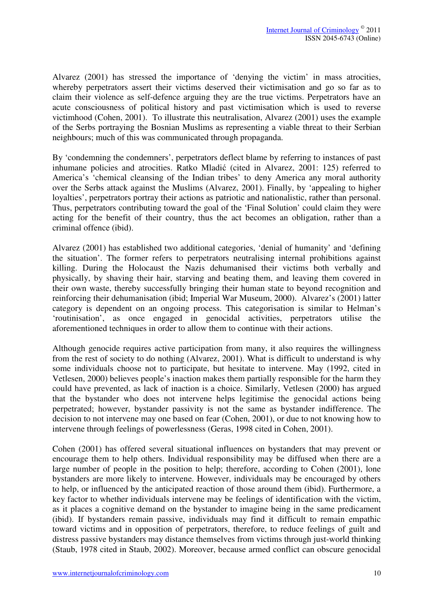Alvarez (2001) has stressed the importance of 'denying the victim' in mass atrocities, whereby perpetrators assert their victims deserved their victimisation and go so far as to claim their violence as self-defence arguing they are the true victims. Perpetrators have an acute consciousness of political history and past victimisation which is used to reverse victimhood (Cohen, 2001). To illustrate this neutralisation, Alvarez (2001) uses the example of the Serbs portraying the Bosnian Muslims as representing a viable threat to their Serbian neighbours; much of this was communicated through propaganda.

By 'condemning the condemners', perpetrators deflect blame by referring to instances of past inhumane policies and atrocities. Ratko Mladić (cited in Alvarez, 2001: 125) referred to America's 'chemical cleansing of the Indian tribes' to deny America any moral authority over the Serbs attack against the Muslims (Alvarez, 2001). Finally, by 'appealing to higher loyalties', perpetrators portray their actions as patriotic and nationalistic, rather than personal. Thus, perpetrators contributing toward the goal of the 'Final Solution' could claim they were acting for the benefit of their country, thus the act becomes an obligation, rather than a criminal offence (ibid).

Alvarez (2001) has established two additional categories, 'denial of humanity' and 'defining the situation'. The former refers to perpetrators neutralising internal prohibitions against killing. During the Holocaust the Nazis dehumanised their victims both verbally and physically, by shaving their hair, starving and beating them, and leaving them covered in their own waste, thereby successfully bringing their human state to beyond recognition and reinforcing their dehumanisation (ibid; Imperial War Museum, 2000). Alvarez's (2001) latter category is dependent on an ongoing process. This categorisation is similar to Helman's 'routinisation', as once engaged in genocidal activities, perpetrators utilise the aforementioned techniques in order to allow them to continue with their actions.

Although genocide requires active participation from many, it also requires the willingness from the rest of society to do nothing (Alvarez, 2001). What is difficult to understand is why some individuals choose not to participate, but hesitate to intervene. May (1992, cited in Vetlesen, 2000) believes people's inaction makes them partially responsible for the harm they could have prevented, as lack of inaction is a choice. Similarly, Vetlesen (2000) has argued that the bystander who does not intervene helps legitimise the genocidal actions being perpetrated; however, bystander passivity is not the same as bystander indifference. The decision to not intervene may one based on fear (Cohen, 2001), or due to not knowing how to intervene through feelings of powerlessness (Geras, 1998 cited in Cohen, 2001).

Cohen (2001) has offered several situational influences on bystanders that may prevent or encourage them to help others. Individual responsibility may be diffused when there are a large number of people in the position to help; therefore, according to Cohen (2001), lone bystanders are more likely to intervene. However, individuals may be encouraged by others to help, or influenced by the anticipated reaction of those around them (ibid). Furthermore, a key factor to whether individuals intervene may be feelings of identification with the victim, as it places a cognitive demand on the bystander to imagine being in the same predicament (ibid). If bystanders remain passive, individuals may find it difficult to remain empathic toward victims and in opposition of perpetrators, therefore, to reduce feelings of guilt and distress passive bystanders may distance themselves from victims through just-world thinking (Staub, 1978 cited in Staub, 2002). Moreover, because armed conflict can obscure genocidal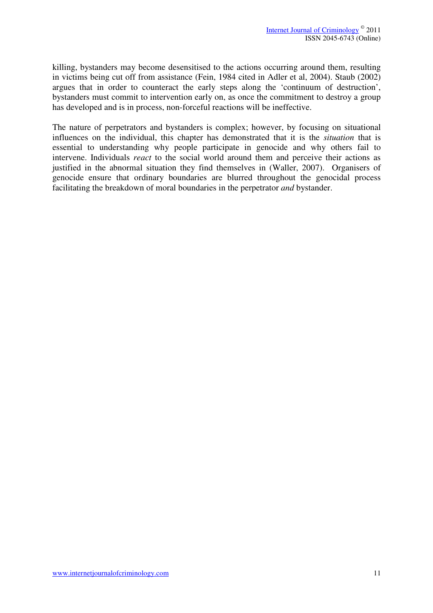killing, bystanders may become desensitised to the actions occurring around them, resulting in victims being cut off from assistance (Fein, 1984 cited in Adler et al, 2004). Staub (2002) argues that in order to counteract the early steps along the 'continuum of destruction', bystanders must commit to intervention early on, as once the commitment to destroy a group has developed and is in process, non-forceful reactions will be ineffective.

The nature of perpetrators and bystanders is complex; however, by focusing on situational influences on the individual, this chapter has demonstrated that it is the *situation* that is essential to understanding why people participate in genocide and why others fail to intervene. Individuals *react* to the social world around them and perceive their actions as justified in the abnormal situation they find themselves in (Waller, 2007). Organisers of genocide ensure that ordinary boundaries are blurred throughout the genocidal process facilitating the breakdown of moral boundaries in the perpetrator *and* bystander.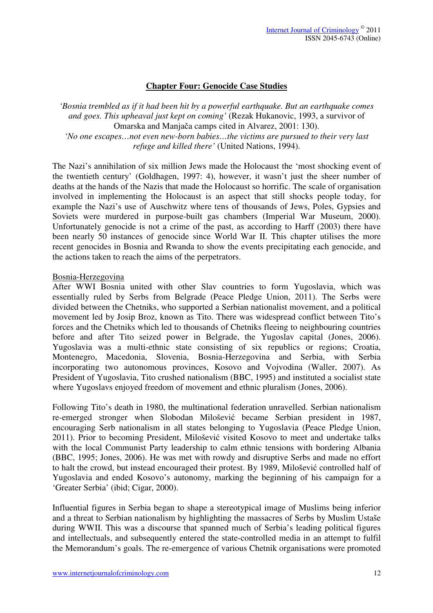## **Chapter Four: Genocide Case Studies**

*'Bosnia trembled as if it had been hit by a powerful earthquake. But an earthquake comes and goes. This upheaval just kept on coming'* (Rezak Hukanovic, 1993, a survivor of Omarska and Manjača camps cited in Alvarez, 2001: 130). *'No one escapes…not even new-born babies…the victims are pursued to their very last refuge and killed there'* (United Nations, 1994).

The Nazi's annihilation of six million Jews made the Holocaust the 'most shocking event of the twentieth century' (Goldhagen, 1997: 4), however, it wasn't just the sheer number of deaths at the hands of the Nazis that made the Holocaust so horrific. The scale of organisation involved in implementing the Holocaust is an aspect that still shocks people today, for example the Nazi's use of Auschwitz where tens of thousands of Jews, Poles, Gypsies and Soviets were murdered in purpose-built gas chambers (Imperial War Museum, 2000). Unfortunately genocide is not a crime of the past, as according to Harff (2003) there have been nearly 50 instances of genocide since World War II. This chapter utilises the more recent genocides in Bosnia and Rwanda to show the events precipitating each genocide, and the actions taken to reach the aims of the perpetrators.

#### Bosnia-Herzegovina

After WWI Bosnia united with other Slav countries to form Yugoslavia, which was essentially ruled by Serbs from Belgrade (Peace Pledge Union, 2011). The Serbs were divided between the Chetniks, who supported a Serbian nationalist movement, and a political movement led by Josip Broz, known as Tito. There was widespread conflict between Tito's forces and the Chetniks which led to thousands of Chetniks fleeing to neighbouring countries before and after Tito seized power in Belgrade, the Yugoslav capital (Jones, 2006). Yugoslavia was a multi-ethnic state consisting of six republics or regions; Croatia, Montenegro, Macedonia, Slovenia, Bosnia-Herzegovina and Serbia, with Serbia incorporating two autonomous provinces, Kosovo and Vojvodina (Waller, 2007). As President of Yugoslavia, Tito crushed nationalism (BBC, 1995) and instituted a socialist state where Yugoslavs enjoyed freedom of movement and ethnic pluralism (Jones, 2006).

Following Tito's death in 1980, the multinational federation unravelled. Serbian nationalism re-emerged stronger when Slobodan Milošević became Serbian president in 1987, encouraging Serb nationalism in all states belonging to Yugoslavia (Peace Pledge Union, 2011). Prior to becoming President, Milošević visited Kosovo to meet and undertake talks with the local Communist Party leadership to calm ethnic tensions with bordering Albania (BBC, 1995; Jones, 2006). He was met with rowdy and disruptive Serbs and made no effort to halt the crowd, but instead encouraged their protest. By 1989, Milošević controlled half of Yugoslavia and ended Kosovo's autonomy, marking the beginning of his campaign for a 'Greater Serbia' (ibid; Cigar, 2000).

Influential figures in Serbia began to shape a stereotypical image of Muslims being inferior and a threat to Serbian nationalism by highlighting the massacres of Serbs by Muslim Ustaše during WWII. This was a discourse that spanned much of Serbia's leading political figures and intellectuals, and subsequently entered the state-controlled media in an attempt to fulfil the Memorandum's goals. The re-emergence of various Chetnik organisations were promoted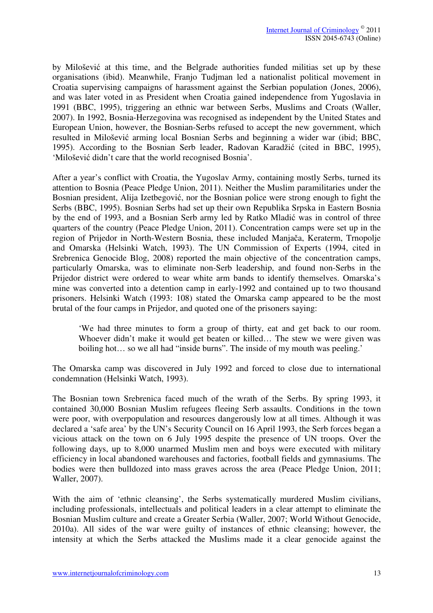by Milošević at this time, and the Belgrade authorities funded militias set up by these organisations (ibid). Meanwhile, Franjo Tudjman led a nationalist political movement in Croatia supervising campaigns of harassment against the Serbian population (Jones, 2006), and was later voted in as President when Croatia gained independence from Yugoslavia in 1991 (BBC, 1995), triggering an ethnic war between Serbs, Muslims and Croats (Waller, 2007). In 1992, Bosnia-Herzegovina was recognised as independent by the United States and European Union, however, the Bosnian-Serbs refused to accept the new government, which resulted in Milošević arming local Bosnian Serbs and beginning a wider war (ibid; BBC, 1995). According to the Bosnian Serb leader, Radovan Karadžić (cited in BBC, 1995), 'Milošević didn't care that the world recognised Bosnia'.

After a year's conflict with Croatia, the Yugoslav Army, containing mostly Serbs, turned its attention to Bosnia (Peace Pledge Union, 2011). Neither the Muslim paramilitaries under the Bosnian president, Alija Izetbegović, nor the Bosnian police were strong enough to fight the Serbs (BBC, 1995). Bosnian Serbs had set up their own Republika Srpska in Eastern Bosnia by the end of 1993, and a Bosnian Serb army led by Ratko Mladić was in control of three quarters of the country (Peace Pledge Union, 2011). Concentration camps were set up in the region of Prijedor in North-Western Bosnia, these included Manjača, Keraterm, Trnopolje and Omarska (Helsinki Watch, 1993). The UN Commission of Experts (1994, cited in Srebrenica Genocide Blog, 2008) reported the main objective of the concentration camps, particularly Omarska, was to eliminate non-Serb leadership, and found non-Serbs in the Prijedor district were ordered to wear white arm bands to identify themselves. Omarska's mine was converted into a detention camp in early-1992 and contained up to two thousand prisoners. Helsinki Watch (1993: 108) stated the Omarska camp appeared to be the most brutal of the four camps in Prijedor, and quoted one of the prisoners saying:

'We had three minutes to form a group of thirty, eat and get back to our room. Whoever didn't make it would get beaten or killed… The stew we were given was boiling hot... so we all had "inside burns". The inside of my mouth was peeling.'

The Omarska camp was discovered in July 1992 and forced to close due to international condemnation (Helsinki Watch, 1993).

The Bosnian town Srebrenica faced much of the wrath of the Serbs. By spring 1993, it contained 30,000 Bosnian Muslim refugees fleeing Serb assaults. Conditions in the town were poor, with overpopulation and resources dangerously low at all times. Although it was declared a 'safe area' by the UN's Security Council on 16 April 1993, the Serb forces began a vicious attack on the town on 6 July 1995 despite the presence of UN troops. Over the following days, up to 8,000 unarmed Muslim men and boys were executed with military efficiency in local abandoned warehouses and factories, football fields and gymnasiums. The bodies were then bulldozed into mass graves across the area (Peace Pledge Union, 2011; Waller, 2007).

With the aim of 'ethnic cleansing', the Serbs systematically murdered Muslim civilians, including professionals, intellectuals and political leaders in a clear attempt to eliminate the Bosnian Muslim culture and create a Greater Serbia (Waller, 2007; World Without Genocide, 2010a). All sides of the war were guilty of instances of ethnic cleansing; however, the intensity at which the Serbs attacked the Muslims made it a clear genocide against the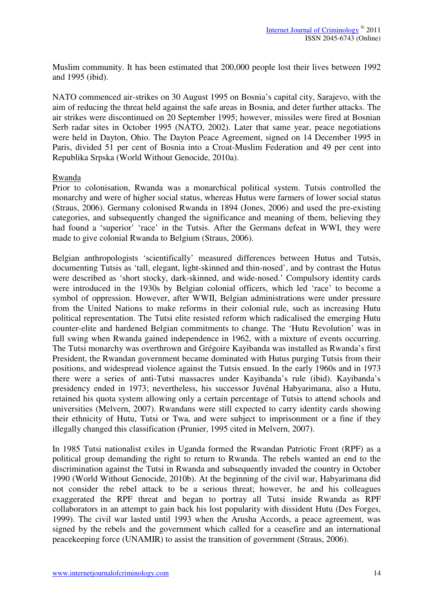Muslim community. It has been estimated that 200,000 people lost their lives between 1992 and 1995 (ibid).

NATO commenced air-strikes on 30 August 1995 on Bosnia's capital city, Sarajevo, with the aim of reducing the threat held against the safe areas in Bosnia, and deter further attacks. The air strikes were discontinued on 20 September 1995; however, missiles were fired at Bosnian Serb radar sites in October 1995 (NATO, 2002). Later that same year, peace negotiations were held in Dayton, Ohio. The Dayton Peace Agreement, signed on 14 December 1995 in Paris, divided 51 per cent of Bosnia into a Croat-Muslim Federation and 49 per cent into Republika Srpska (World Without Genocide, 2010a).

## Rwanda

Prior to colonisation, Rwanda was a monarchical political system. Tutsis controlled the monarchy and were of higher social status, whereas Hutus were farmers of lower social status (Straus, 2006). Germany colonised Rwanda in 1894 (Jones, 2006) and used the pre-existing categories, and subsequently changed the significance and meaning of them, believing they had found a 'superior' 'race' in the Tutsis. After the Germans defeat in WWI, they were made to give colonial Rwanda to Belgium (Straus, 2006).

Belgian anthropologists 'scientifically' measured differences between Hutus and Tutsis, documenting Tutsis as 'tall, elegant, light-skinned and thin-nosed', and by contrast the Hutus were described as 'short stocky, dark-skinned, and wide-nosed.' Compulsory identity cards were introduced in the 1930s by Belgian colonial officers, which led 'race' to become a symbol of oppression. However, after WWII, Belgian administrations were under pressure from the United Nations to make reforms in their colonial rule, such as increasing Hutu political representation. The Tutsi elite resisted reform which radicalised the emerging Hutu counter-elite and hardened Belgian commitments to change. The 'Hutu Revolution' was in full swing when Rwanda gained independence in 1962, with a mixture of events occurring. The Tutsi monarchy was overthrown and Grégoire Kayibanda was installed as Rwanda's first President, the Rwandan government became dominated with Hutus purging Tutsis from their positions, and widespread violence against the Tutsis ensued. In the early 1960s and in 1973 there were a series of anti-Tutsi massacres under Kayibanda's rule (ibid). Kayibanda's presidency ended in 1973; nevertheless, his successor Juvénal Habyarimana, also a Hutu, retained his quota system allowing only a certain percentage of Tutsis to attend schools and universities (Melvern, 2007). Rwandans were still expected to carry identity cards showing their ethnicity of Hutu, Tutsi or Twa, and were subject to imprisonment or a fine if they illegally changed this classification (Prunier, 1995 cited in Melvern, 2007).

In 1985 Tutsi nationalist exiles in Uganda formed the Rwandan Patriotic Front (RPF) as a political group demanding the right to return to Rwanda. The rebels wanted an end to the discrimination against the Tutsi in Rwanda and subsequently invaded the country in October 1990 (World Without Genocide, 2010b). At the beginning of the civil war, Habyarimana did not consider the rebel attack to be a serious threat; however, he and his colleagues exaggerated the RPF threat and began to portray all Tutsi inside Rwanda as RPF collaborators in an attempt to gain back his lost popularity with dissident Hutu (Des Forges, 1999). The civil war lasted until 1993 when the Arusha Accords, a peace agreement, was signed by the rebels and the government which called for a ceasefire and an international peacekeeping force (UNAMIR) to assist the transition of government (Straus, 2006).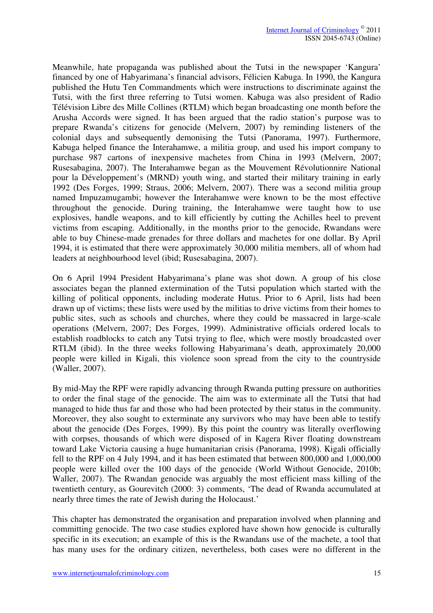Meanwhile, hate propaganda was published about the Tutsi in the newspaper 'Kangura' financed by one of Habyarimana's financial advisors, Félicien Kabuga. In 1990, the Kangura published the Hutu Ten Commandments which were instructions to discriminate against the Tutsi, with the first three referring to Tutsi women. Kabuga was also president of Radio Télévision Libre des Mille Collines (RTLM) which began broadcasting one month before the Arusha Accords were signed. It has been argued that the radio station's purpose was to prepare Rwanda's citizens for genocide (Melvern, 2007) by reminding listeners of the colonial days and subsequently demonising the Tutsi (Panorama, 1997). Furthermore, Kabuga helped finance the Interahamwe, a militia group, and used his import company to purchase 987 cartons of inexpensive machetes from China in 1993 (Melvern, 2007; Rusesabagina, 2007). The Interahamwe began as the Mouvement Révolutionnire National pour la Développement's (MRND) youth wing, and started their military training in early 1992 (Des Forges, 1999; Straus, 2006; Melvern, 2007). There was a second militia group named Impuzamugambi; however the Interahamwe were known to be the most effective throughout the genocide. During training, the Interahamwe were taught how to use explosives, handle weapons, and to kill efficiently by cutting the Achilles heel to prevent victims from escaping. Additionally, in the months prior to the genocide, Rwandans were able to buy Chinese-made grenades for three dollars and machetes for one dollar. By April 1994, it is estimated that there were approximately 30,000 militia members, all of whom had leaders at neighbourhood level (ibid; Rusesabagina, 2007).

On 6 April 1994 President Habyarimana's plane was shot down. A group of his close associates began the planned extermination of the Tutsi population which started with the killing of political opponents, including moderate Hutus. Prior to 6 April, lists had been drawn up of victims; these lists were used by the militias to drive victims from their homes to public sites, such as schools and churches, where they could be massacred in large-scale operations (Melvern, 2007; Des Forges, 1999). Administrative officials ordered locals to establish roadblocks to catch any Tutsi trying to flee, which were mostly broadcasted over RTLM (ibid). In the three weeks following Habyarimana's death, approximately 20,000 people were killed in Kigali, this violence soon spread from the city to the countryside (Waller, 2007).

By mid-May the RPF were rapidly advancing through Rwanda putting pressure on authorities to order the final stage of the genocide. The aim was to exterminate all the Tutsi that had managed to hide thus far and those who had been protected by their status in the community. Moreover, they also sought to exterminate any survivors who may have been able to testify about the genocide (Des Forges, 1999). By this point the country was literally overflowing with corpses, thousands of which were disposed of in Kagera River floating downstream toward Lake Victoria causing a huge humanitarian crisis (Panorama, 1998). Kigali officially fell to the RPF on 4 July 1994, and it has been estimated that between 800,000 and 1,000,000 people were killed over the 100 days of the genocide (World Without Genocide, 2010b; Waller, 2007). The Rwandan genocide was arguably the most efficient mass killing of the twentieth century, as Gourevitch (2000: 3) comments, 'The dead of Rwanda accumulated at nearly three times the rate of Jewish during the Holocaust.'

This chapter has demonstrated the organisation and preparation involved when planning and committing genocide. The two case studies explored have shown how genocide is culturally specific in its execution; an example of this is the Rwandans use of the machete, a tool that has many uses for the ordinary citizen, nevertheless, both cases were no different in the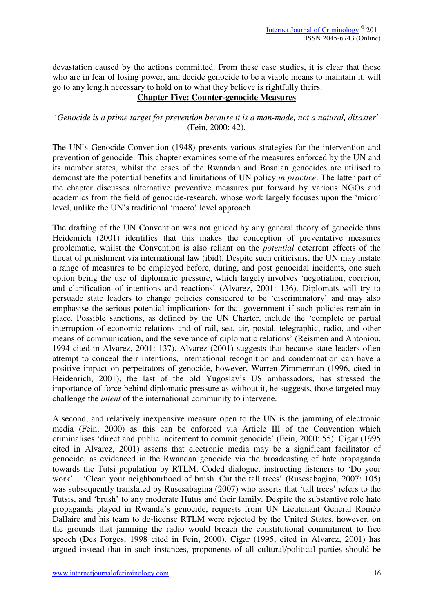devastation caused by the actions committed. From these case studies, it is clear that those who are in fear of losing power, and decide genocide to be a viable means to maintain it, will go to any length necessary to hold on to what they believe is rightfully theirs.

# **Chapter Five: Counter-genocide Measures**

# '*Genocide is a prime target for prevention because it is a man-made, not a natural, disaster'*  (Fein, 2000: 42).

The UN's Genocide Convention (1948) presents various strategies for the intervention and prevention of genocide. This chapter examines some of the measures enforced by the UN and its member states, whilst the cases of the Rwandan and Bosnian genocides are utilised to demonstrate the potential benefits and limitations of UN policy *in practice*. The latter part of the chapter discusses alternative preventive measures put forward by various NGOs and academics from the field of genocide-research, whose work largely focuses upon the 'micro' level, unlike the UN's traditional 'macro' level approach.

The drafting of the UN Convention was not guided by any general theory of genocide thus Heidenrich (2001) identifies that this makes the conception of preventative measures problematic, whilst the Convention is also reliant on the *potential* deterrent effects of the threat of punishment via international law (ibid). Despite such criticisms, the UN may instate a range of measures to be employed before, during, and post genocidal incidents, one such option being the use of diplomatic pressure, which largely involves 'negotiation, coercion, and clarification of intentions and reactions' (Alvarez, 2001: 136). Diplomats will try to persuade state leaders to change policies considered to be 'discriminatory' and may also emphasise the serious potential implications for that government if such policies remain in place. Possible sanctions, as defined by the UN Charter, include the 'complete or partial interruption of economic relations and of rail, sea, air, postal, telegraphic, radio, and other means of communication, and the severance of diplomatic relations' (Reismen and Antoniou, 1994 cited in Alvarez, 2001: 137). Alvarez (2001) suggests that because state leaders often attempt to conceal their intentions, international recognition and condemnation can have a positive impact on perpetrators of genocide, however, Warren Zimmerman (1996, cited in Heidenrich, 2001), the last of the old Yugoslav's US ambassadors, has stressed the importance of force behind diplomatic pressure as without it, he suggests, those targeted may challenge the *intent* of the international community to intervene.

A second, and relatively inexpensive measure open to the UN is the jamming of electronic media (Fein, 2000) as this can be enforced via Article III of the Convention which criminalises 'direct and public incitement to commit genocide' (Fein, 2000: 55). Cigar (1995 cited in Alvarez, 2001) asserts that electronic media may be a significant facilitator of genocide, as evidenced in the Rwandan genocide via the broadcasting of hate propaganda towards the Tutsi population by RTLM. Coded dialogue, instructing listeners to 'Do your work'... 'Clean your neighbourhood of brush. Cut the tall trees' (Rusesabagina, 2007: 105) was subsequently translated by Rusesabagina (2007) who asserts that 'tall trees' refers to the Tutsis, and 'brush' to any moderate Hutus and their family. Despite the substantive role hate propaganda played in Rwanda's genocide, requests from UN Lieutenant General Roméo Dallaire and his team to de-license RTLM were rejected by the United States, however, on the grounds that jamming the radio would breach the constitutional commitment to free speech (Des Forges, 1998 cited in Fein, 2000). Cigar (1995, cited in Alvarez, 2001) has argued instead that in such instances, proponents of all cultural/political parties should be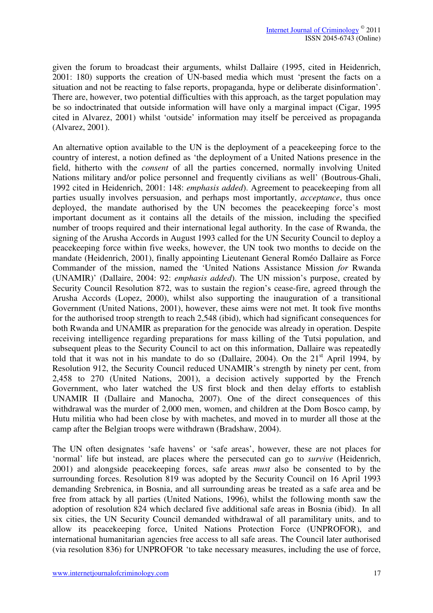given the forum to broadcast their arguments, whilst Dallaire (1995, cited in Heidenrich, 2001: 180) supports the creation of UN-based media which must 'present the facts on a situation and not be reacting to false reports, propaganda, hype or deliberate disinformation'. There are, however, two potential difficulties with this approach, as the target population may be so indoctrinated that outside information will have only a marginal impact (Cigar, 1995 cited in Alvarez, 2001) whilst 'outside' information may itself be perceived as propaganda (Alvarez, 2001).

An alternative option available to the UN is the deployment of a peacekeeping force to the country of interest, a notion defined as 'the deployment of a United Nations presence in the field, hitherto with the *consent* of all the parties concerned, normally involving United Nations military and/or police personnel and frequently civilians as well' (Boutrous-Ghali, 1992 cited in Heidenrich, 2001: 148: *emphasis added*). Agreement to peacekeeping from all parties usually involves persuasion, and perhaps most importantly, *acceptance*, thus once deployed, the mandate authorised by the UN becomes the peacekeeping force's most important document as it contains all the details of the mission, including the specified number of troops required and their international legal authority. In the case of Rwanda, the signing of the Arusha Accords in August 1993 called for the UN Security Council to deploy a peacekeeping force within five weeks, however, the UN took two months to decide on the mandate (Heidenrich, 2001), finally appointing Lieutenant General Roméo Dallaire as Force Commander of the mission, named the 'United Nations Assistance Mission *for* Rwanda (UNAMIR)' (Dallaire, 2004: 92: *emphasis added*). The UN mission's purpose, created by Security Council Resolution 872, was to sustain the region's cease-fire, agreed through the Arusha Accords (Lopez, 2000), whilst also supporting the inauguration of a transitional Government (United Nations, 2001), however, these aims were not met. It took five months for the authorised troop strength to reach 2,548 (ibid), which had significant consequences for both Rwanda and UNAMIR as preparation for the genocide was already in operation. Despite receiving intelligence regarding preparations for mass killing of the Tutsi population, and subsequent pleas to the Security Council to act on this information, Dallaire was repeatedly told that it was not in his mandate to do so (Dallaire, 2004). On the  $21<sup>st</sup>$  April 1994, by Resolution 912, the Security Council reduced UNAMIR's strength by ninety per cent, from 2,458 to 270 (United Nations, 2001), a decision actively supported by the French Government, who later watched the US first block and then delay efforts to establish UNAMIR II (Dallaire and Manocha, 2007). One of the direct consequences of this withdrawal was the murder of 2,000 men, women, and children at the Dom Bosco camp, by Hutu militia who had been close by with machetes, and moved in to murder all those at the camp after the Belgian troops were withdrawn (Bradshaw, 2004).

The UN often designates 'safe havens' or 'safe areas', however, these are not places for 'normal' life but instead, are places where the persecuted can go to *survive* (Heidenrich, 2001) and alongside peacekeeping forces, safe areas *must* also be consented to by the surrounding forces. Resolution 819 was adopted by the Security Council on 16 April 1993 demanding Srebrenica, in Bosnia, and all surrounding areas be treated as a safe area and be free from attack by all parties (United Nations, 1996), whilst the following month saw the adoption of resolution 824 which declared five additional safe areas in Bosnia (ibid). In all six cities, the UN Security Council demanded withdrawal of all paramilitary units, and to allow its peacekeeping force, United Nations Protection Force (UNPROFOR), and international humanitarian agencies free access to all safe areas. The Council later authorised (via resolution 836) for UNPROFOR 'to take necessary measures, including the use of force,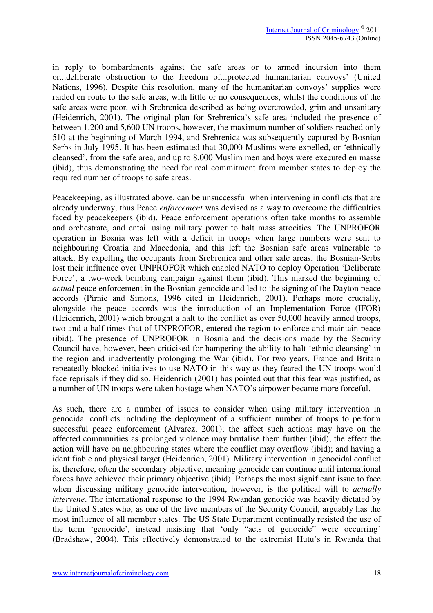in reply to bombardments against the safe areas or to armed incursion into them or...deliberate obstruction to the freedom of...protected humanitarian convoys' (United Nations, 1996). Despite this resolution, many of the humanitarian convoys' supplies were raided en route to the safe areas, with little or no consequences, whilst the conditions of the safe areas were poor, with Srebrenica described as being overcrowded, grim and unsanitary (Heidenrich, 2001). The original plan for Srebrenica's safe area included the presence of between 1,200 and 5,600 UN troops, however, the maximum number of soldiers reached only 510 at the beginning of March 1994, and Srebrenica was subsequently captured by Bosnian Serbs in July 1995. It has been estimated that 30,000 Muslims were expelled, or 'ethnically cleansed', from the safe area, and up to 8,000 Muslim men and boys were executed en masse (ibid), thus demonstrating the need for real commitment from member states to deploy the required number of troops to safe areas.

Peacekeeping, as illustrated above, can be unsuccessful when intervening in conflicts that are already underway, thus Peace *enforcement* was devised as a way to overcome the difficulties faced by peacekeepers (ibid). Peace enforcement operations often take months to assemble and orchestrate, and entail using military power to halt mass atrocities. The UNPROFOR operation in Bosnia was left with a deficit in troops when large numbers were sent to neighbouring Croatia and Macedonia, and this left the Bosnian safe areas vulnerable to attack. By expelling the occupants from Srebrenica and other safe areas, the Bosnian-Serbs lost their influence over UNPROFOR which enabled NATO to deploy Operation 'Deliberate Force', a two-week bombing campaign against them (ibid). This marked the beginning of *actual* peace enforcement in the Bosnian genocide and led to the signing of the Dayton peace accords (Pirnie and Simons, 1996 cited in Heidenrich, 2001). Perhaps more crucially, alongside the peace accords was the introduction of an Implementation Force (IFOR) (Heidenrich, 2001) which brought a halt to the conflict as over 50,000 heavily armed troops, two and a half times that of UNPROFOR, entered the region to enforce and maintain peace (ibid). The presence of UNPROFOR in Bosnia and the decisions made by the Security Council have, however, been criticised for hampering the ability to halt 'ethnic cleansing' in the region and inadvertently prolonging the War (ibid). For two years, France and Britain repeatedly blocked initiatives to use NATO in this way as they feared the UN troops would face reprisals if they did so. Heidenrich (2001) has pointed out that this fear was justified, as a number of UN troops were taken hostage when NATO's airpower became more forceful.

As such, there are a number of issues to consider when using military intervention in genocidal conflicts including the deployment of a sufficient number of troops to perform successful peace enforcement (Alvarez, 2001); the affect such actions may have on the affected communities as prolonged violence may brutalise them further (ibid); the effect the action will have on neighbouring states where the conflict may overflow (ibid); and having a identifiable and physical target (Heidenrich, 2001). Military intervention in genocidal conflict is, therefore, often the secondary objective, meaning genocide can continue until international forces have achieved their primary objective (ibid). Perhaps the most significant issue to face when discussing military genocide intervention, however, is the political will to *actually intervene*. The international response to the 1994 Rwandan genocide was heavily dictated by the United States who, as one of the five members of the Security Council, arguably has the most influence of all member states. The US State Department continually resisted the use of the term 'genocide', instead insisting that 'only "acts of genocide" were occurring' (Bradshaw, 2004). This effectively demonstrated to the extremist Hutu's in Rwanda that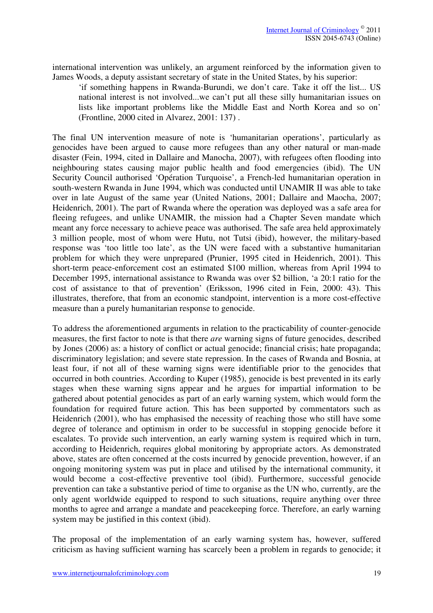international intervention was unlikely, an argument reinforced by the information given to James Woods, a deputy assistant secretary of state in the United States, by his superior:

'if something happens in Rwanda-Burundi, we don't care. Take it off the list... US national interest is not involved...we can't put all these silly humanitarian issues on lists like important problems like the Middle East and North Korea and so on' (Frontline, 2000 cited in Alvarez, 2001: 137) .

The final UN intervention measure of note is 'humanitarian operations', particularly as genocides have been argued to cause more refugees than any other natural or man-made disaster (Fein, 1994, cited in Dallaire and Manocha, 2007), with refugees often flooding into neighbouring states causing major public health and food emergencies (ibid). The UN Security Council authorised 'Opération Turquoise', a French-led humanitarian operation in south-western Rwanda in June 1994, which was conducted until UNAMIR II was able to take over in late August of the same year (United Nations, 2001; Dallaire and Maocha, 2007; Heidenrich, 2001). The part of Rwanda where the operation was deployed was a safe area for fleeing refugees, and unlike UNAMIR, the mission had a Chapter Seven mandate which meant any force necessary to achieve peace was authorised. The safe area held approximately 3 million people, most of whom were Hutu, not Tutsi (ibid), however, the military-based response was 'too little too late', as the UN were faced with a substantive humanitarian problem for which they were unprepared (Prunier, 1995 cited in Heidenrich, 2001). This short-term peace-enforcement cost an estimated \$100 million, whereas from April 1994 to December 1995, international assistance to Rwanda was over \$2 billion, 'a 20:1 ratio for the cost of assistance to that of prevention' (Eriksson, 1996 cited in Fein, 2000: 43). This illustrates, therefore, that from an economic standpoint, intervention is a more cost-effective measure than a purely humanitarian response to genocide.

To address the aforementioned arguments in relation to the practicability of counter-genocide measures, the first factor to note is that there *are* warning signs of future genocides, described by Jones (2006) as: a history of conflict or actual genocide; financial crisis; hate propaganda; discriminatory legislation; and severe state repression. In the cases of Rwanda and Bosnia, at least four, if not all of these warning signs were identifiable prior to the genocides that occurred in both countries. According to Kuper (1985), genocide is best prevented in its early stages when these warning signs appear and he argues for impartial information to be gathered about potential genocides as part of an early warning system, which would form the foundation for required future action. This has been supported by commentators such as Heidenrich (2001), who has emphasised the necessity of reaching those who still have some degree of tolerance and optimism in order to be successful in stopping genocide before it escalates. To provide such intervention, an early warning system is required which in turn, according to Heidenrich, requires global monitoring by appropriate actors. As demonstrated above, states are often concerned at the costs incurred by genocide prevention, however, if an ongoing monitoring system was put in place and utilised by the international community, it would become a cost-effective preventive tool (ibid). Furthermore, successful genocide prevention can take a substantive period of time to organise as the UN who, currently, are the only agent worldwide equipped to respond to such situations, require anything over three months to agree and arrange a mandate and peacekeeping force. Therefore, an early warning system may be justified in this context (ibid).

The proposal of the implementation of an early warning system has, however, suffered criticism as having sufficient warning has scarcely been a problem in regards to genocide; it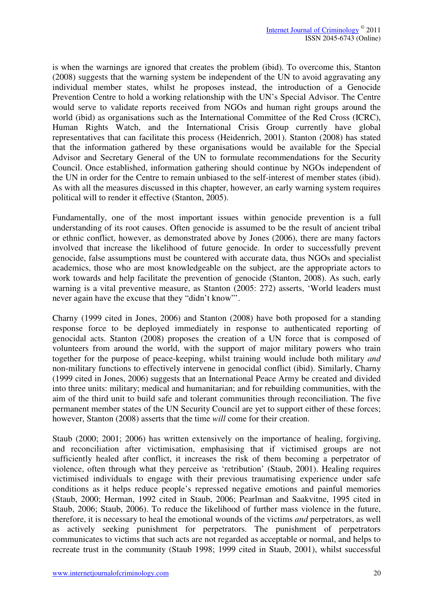is when the warnings are ignored that creates the problem (ibid). To overcome this, Stanton (2008) suggests that the warning system be independent of the UN to avoid aggravating any individual member states, whilst he proposes instead, the introduction of a Genocide Prevention Centre to hold a working relationship with the UN's Special Advisor. The Centre would serve to validate reports received from NGOs and human right groups around the world (ibid) as organisations such as the International Committee of the Red Cross (ICRC), Human Rights Watch, and the International Crisis Group currently have global representatives that can facilitate this process (Heidenrich, 2001). Stanton (2008) has stated that the information gathered by these organisations would be available for the Special Advisor and Secretary General of the UN to formulate recommendations for the Security Council. Once established, information gathering should continue by NGOs independent of the UN in order for the Centre to remain unbiased to the self-interest of member states (ibid). As with all the measures discussed in this chapter, however, an early warning system requires political will to render it effective (Stanton, 2005).

Fundamentally, one of the most important issues within genocide prevention is a full understanding of its root causes. Often genocide is assumed to be the result of ancient tribal or ethnic conflict, however, as demonstrated above by Jones (2006), there are many factors involved that increase the likelihood of future genocide. In order to successfully prevent genocide, false assumptions must be countered with accurate data, thus NGOs and specialist academics, those who are most knowledgeable on the subject, are the appropriate actors to work towards and help facilitate the prevention of genocide (Stanton, 2008). As such, early warning is a vital preventive measure, as Stanton (2005: 272) asserts, 'World leaders must never again have the excuse that they "didn't know"'.

Charny (1999 cited in Jones, 2006) and Stanton (2008) have both proposed for a standing response force to be deployed immediately in response to authenticated reporting of genocidal acts. Stanton (2008) proposes the creation of a UN force that is composed of volunteers from around the world, with the support of major military powers who train together for the purpose of peace-keeping, whilst training would include both military *and* non-military functions to effectively intervene in genocidal conflict (ibid). Similarly, Charny (1999 cited in Jones, 2006) suggests that an International Peace Army be created and divided into three units: military; medical and humanitarian; and for rebuilding communities, with the aim of the third unit to build safe and tolerant communities through reconciliation. The five permanent member states of the UN Security Council are yet to support either of these forces; however, Stanton (2008) asserts that the time *will* come for their creation.

Staub (2000; 2001; 2006) has written extensively on the importance of healing, forgiving, and reconciliation after victimisation, emphasising that if victimised groups are not sufficiently healed after conflict, it increases the risk of them becoming a perpetrator of violence, often through what they perceive as 'retribution' (Staub, 2001). Healing requires victimised individuals to engage with their previous traumatising experience under safe conditions as it helps reduce people's repressed negative emotions and painful memories (Staub, 2000; Herman, 1992 cited in Staub, 2006; Pearlman and Saakvitne, 1995 cited in Staub, 2006; Staub, 2006). To reduce the likelihood of further mass violence in the future, therefore, it is necessary to heal the emotional wounds of the victims *and* perpetrators, as well as actively seeking punishment for perpetrators. The punishment of perpetrators communicates to victims that such acts are not regarded as acceptable or normal, and helps to recreate trust in the community (Staub 1998; 1999 cited in Staub, 2001), whilst successful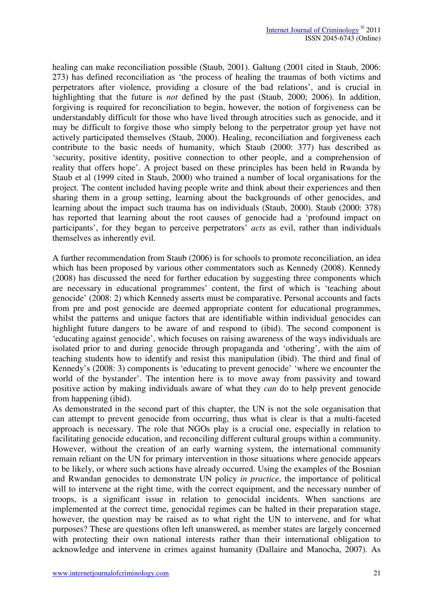healing can make reconciliation possible (Staub, 2001). Galtung (2001 cited in Staub, 2006: 273) has defined reconciliation as 'the process of healing the traumas of both victims and perpetrators after violence, providing a closure of the bad relations', and is crucial in highlighting that the future is *not* defined by the past (Staub, 2000; 2006). In addition, forgiving is required for reconciliation to begin, however, the notion of forgiveness can be understandably difficult for those who have lived through atrocities such as genocide, and it may be difficult to forgive those who simply belong to the perpetrator group yet have not actively participated themselves (Staub, 2000). Healing, reconciliation and forgiveness each contribute to the basic needs of humanity, which Staub (2000: 377) has described as 'security, positive identity, positive connection to other people, and a comprehension of reality that offers hope'. A project based on these principles has been held in Rwanda by Staub et al (1999 cited in Staub, 2000) who trained a number of local organisations for the project. The content included having people write and think about their experiences and then sharing them in a group setting, learning about the backgrounds of other genocides, and learning about the impact such trauma has on individuals (Staub, 2000). Staub (2000: 378) has reported that learning about the root causes of genocide had a 'profound impact on participants', for they began to perceive perpetrators' *acts* as evil, rather than individuals themselves as inherently evil.

A further recommendation from Staub (2006) is for schools to promote reconciliation, an idea which has been proposed by various other commentators such as Kennedy (2008). Kennedy (2008) has discussed the need for further education by suggesting three components which are necessary in educational programmes' content, the first of which is 'teaching about genocide' (2008: 2) which Kennedy asserts must be comparative. Personal accounts and facts from pre and post genocide are deemed appropriate content for educational programmes, whilst the patterns and unique factors that are identifiable within individual genocides can highlight future dangers to be aware of and respond to (ibid). The second component is 'educating against genocide', which focuses on raising awareness of the ways individuals are isolated prior to and during genocide through propaganda and 'othering', with the aim of teaching students how to identify and resist this manipulation (ibid). The third and final of Kennedy's (2008: 3) components is 'educating to prevent genocide' 'where we encounter the world of the bystander'. The intention here is to move away from passivity and toward positive action by making individuals aware of what they *can* do to help prevent genocide from happening (ibid).

As demonstrated in the second part of this chapter, the UN is not the sole organisation that can attempt to prevent genocide from occurring, thus what is clear is that a multi-faceted approach is necessary. The role that NGOs play is a crucial one, especially in relation to facilitating genocide education, and reconciling different cultural groups within a community. However, without the creation of an early warning system, the international community remain reliant on the UN for primary intervention in those situations where genocide appears to be likely, or where such actions have already occurred. Using the examples of the Bosnian and Rwandan genocides to demonstrate UN policy *in practice*, the importance of political will to intervene at the right time, with the correct equipment, and the necessary number of troops, is a significant issue in relation to genocidal incidents. When sanctions are implemented at the correct time, genocidal regimes can be halted in their preparation stage, however, the question may be raised as to what right the UN to intervene, and for what purposes? These are questions often left unanswered, as member states are largely concerned with protecting their own national interests rather than their international obligation to acknowledge and intervene in crimes against humanity (Dallaire and Manocha, 2007). As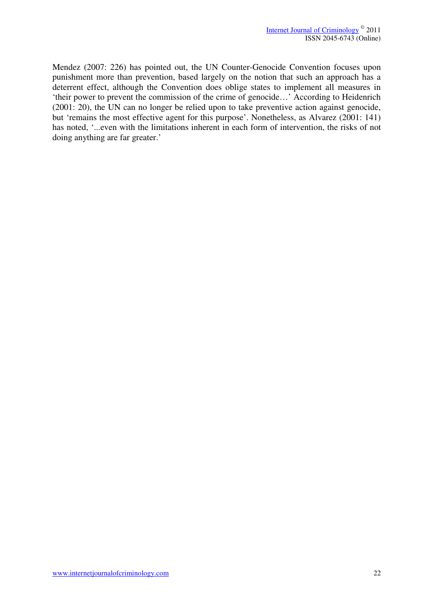Mendez (2007: 226) has pointed out, the UN Counter-Genocide Convention focuses upon punishment more than prevention, based largely on the notion that such an approach has a deterrent effect, although the Convention does oblige states to implement all measures in 'their power to prevent the commission of the crime of genocide…' According to Heidenrich (2001: 20), the UN can no longer be relied upon to take preventive action against genocide, but 'remains the most effective agent for this purpose'. Nonetheless, as Alvarez (2001: 141) has noted, '...even with the limitations inherent in each form of intervention, the risks of not doing anything are far greater.'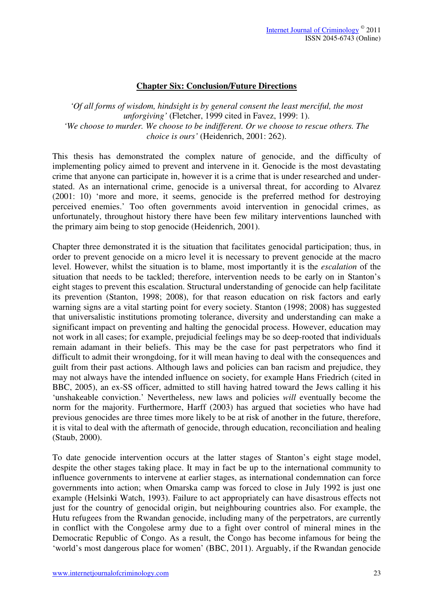## **Chapter Six: Conclusion/Future Directions**

*'Of all forms of wisdom, hindsight is by general consent the least merciful, the most unforgiving'* (Fletcher, 1999 cited in Favez, 1999: 1). *'We choose to murder. We choose to be indifferent. Or we choose to rescue others. The choice is ours'* (Heidenrich, 2001: 262).

This thesis has demonstrated the complex nature of genocide, and the difficulty of implementing policy aimed to prevent and intervene in it. Genocide is the most devastating crime that anyone can participate in, however it is a crime that is under researched and understated. As an international crime, genocide is a universal threat, for according to Alvarez (2001: 10) 'more and more, it seems, genocide is the preferred method for destroying perceived enemies.' Too often governments avoid intervention in genocidal crimes, as unfortunately, throughout history there have been few military interventions launched with the primary aim being to stop genocide (Heidenrich, 2001).

Chapter three demonstrated it is the situation that facilitates genocidal participation; thus, in order to prevent genocide on a micro level it is necessary to prevent genocide at the macro level. However, whilst the situation is to blame, most importantly it is the *escalation* of the situation that needs to be tackled; therefore, intervention needs to be early on in Stanton's eight stages to prevent this escalation. Structural understanding of genocide can help facilitate its prevention (Stanton, 1998; 2008), for that reason education on risk factors and early warning signs are a vital starting point for every society. Stanton (1998; 2008) has suggested that universalistic institutions promoting tolerance, diversity and understanding can make a significant impact on preventing and halting the genocidal process. However, education may not work in all cases; for example, prejudicial feelings may be so deep-rooted that individuals remain adamant in their beliefs. This may be the case for past perpetrators who find it difficult to admit their wrongdoing, for it will mean having to deal with the consequences and guilt from their past actions. Although laws and policies can ban racism and prejudice, they may not always have the intended influence on society, for example Hans Friedrich (cited in BBC, 2005), an ex-SS officer, admitted to still having hatred toward the Jews calling it his 'unshakeable conviction.' Nevertheless, new laws and policies *will* eventually become the norm for the majority. Furthermore, Harff (2003) has argued that societies who have had previous genocides are three times more likely to be at risk of another in the future, therefore, it is vital to deal with the aftermath of genocide, through education, reconciliation and healing (Staub, 2000).

To date genocide intervention occurs at the latter stages of Stanton's eight stage model, despite the other stages taking place. It may in fact be up to the international community to influence governments to intervene at earlier stages, as international condemnation can force governments into action; when Omarska camp was forced to close in July 1992 is just one example (Helsinki Watch, 1993). Failure to act appropriately can have disastrous effects not just for the country of genocidal origin, but neighbouring countries also. For example, the Hutu refugees from the Rwandan genocide, including many of the perpetrators, are currently in conflict with the Congolese army due to a fight over control of mineral mines in the Democratic Republic of Congo. As a result, the Congo has become infamous for being the 'world's most dangerous place for women' (BBC, 2011). Arguably, if the Rwandan genocide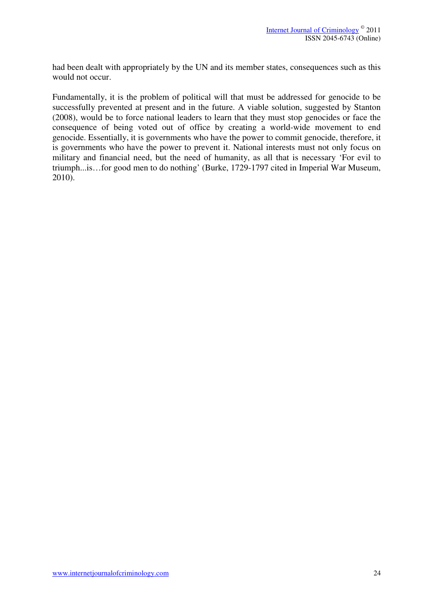had been dealt with appropriately by the UN and its member states, consequences such as this would not occur.

Fundamentally, it is the problem of political will that must be addressed for genocide to be successfully prevented at present and in the future. A viable solution, suggested by Stanton (2008), would be to force national leaders to learn that they must stop genocides or face the consequence of being voted out of office by creating a world-wide movement to end genocide. Essentially, it is governments who have the power to commit genocide, therefore, it is governments who have the power to prevent it. National interests must not only focus on military and financial need, but the need of humanity, as all that is necessary 'For evil to triumph...is…for good men to do nothing' (Burke, 1729-1797 cited in Imperial War Museum, 2010).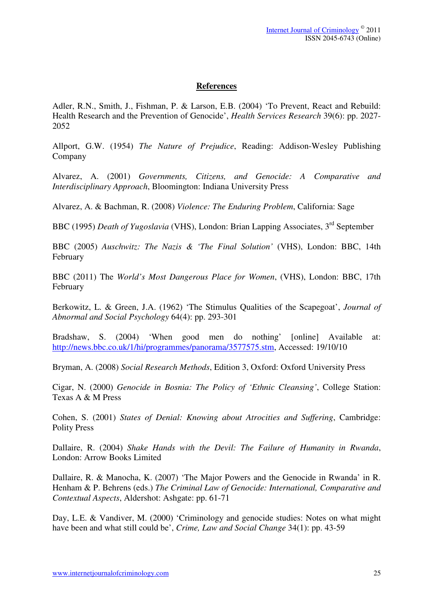## **References**

Adler, R.N., Smith, J., Fishman, P. & Larson, E.B. (2004) 'To Prevent, React and Rebuild: Health Research and the Prevention of Genocide', *Health Services Research* 39(6): pp. 2027- 2052

Allport, G.W. (1954) *The Nature of Prejudice*, Reading: Addison-Wesley Publishing Company

Alvarez, A. (2001) *Governments, Citizens, and Genocide: A Comparative and Interdisciplinary Approach*, Bloomington: Indiana University Press

Alvarez, A. & Bachman, R. (2008) *Violence: The Enduring Problem*, California: Sage

BBC (1995) *Death of Yugoslavia* (VHS), London: Brian Lapping Associates, 3rd September

BBC (2005) *Auschwitz: The Nazis & 'The Final Solution'* (VHS), London: BBC, 14th February

BBC (2011) The *World's Most Dangerous Place for Women*, (VHS), London: BBC, 17th February

Berkowitz, L. & Green, J.A. (1962) 'The Stimulus Qualities of the Scapegoat', *Journal of Abnormal and Social Psychology* 64(4): pp. 293-301

Bradshaw, S. (2004) 'When good men do nothing' [online] Available at: http://news.bbc.co.uk/1/hi/programmes/panorama/3577575.stm, Accessed: 19/10/10

Bryman, A. (2008) *Social Research Methods*, Edition 3, Oxford: Oxford University Press

Cigar, N. (2000) *Genocide in Bosnia: The Policy of 'Ethnic Cleansing'*, College Station: Texas A & M Press

Cohen, S. (2001) *States of Denial: Knowing about Atrocities and Suffering*, Cambridge: Polity Press

Dallaire, R. (2004) *Shake Hands with the Devil: The Failure of Humanity in Rwanda*, London: Arrow Books Limited

Dallaire, R. & Manocha, K. (2007) 'The Major Powers and the Genocide in Rwanda' in R. Henham & P. Behrens (eds.) *The Criminal Law of Genocide: International, Comparative and Contextual Aspects*, Aldershot: Ashgate: pp. 61-71

Day, L.E. & Vandiver, M. (2000) 'Criminology and genocide studies: Notes on what might have been and what still could be', *Crime, Law and Social Change* 34(1): pp. 43-59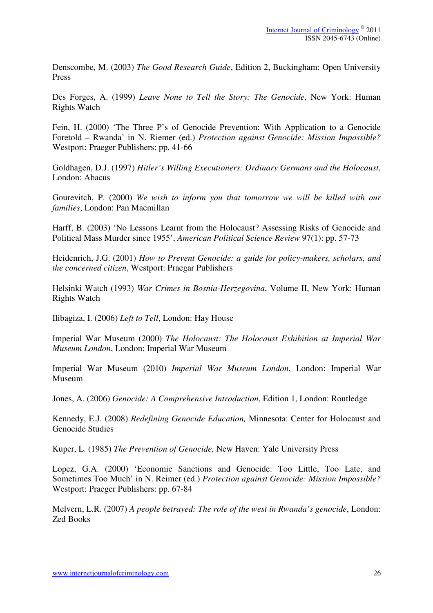Denscombe, M. (2003) *The Good Research Guide*, Edition 2, Buckingham: Open University Press

Des Forges, A. (1999) *Leave None to Tell the Story: The Genocide*, New York: Human Rights Watch

Fein, H. (2000) 'The Three P's of Genocide Prevention: With Application to a Genocide Foretold – Rwanda' in N. Riemer (ed.) *Protection against Genocide: Mission Impossible?* Westport: Praeger Publishers: pp. 41-66

Goldhagen, D.J. (1997) *Hitler's Willing Executioners: Ordinary Germans and the Holocaust*, London: Abacus

Gourevitch, P. (2000) *We wish to inform you that tomorrow we will be killed with our families*, London: Pan Macmillan

Harff, B. (2003) 'No Lessons Learnt from the Holocaust? Assessing Risks of Genocide and Political Mass Murder since 1955', *American Political Science Review* 97(1): pp. 57-73

Heidenrich, J.G. (2001) *How to Prevent Genocide: a guide for policy-makers, scholars, and the concerned citizen*, Westport: Praegar Publishers

Helsinki Watch (1993) *War Crimes in Bosnia-Herzegovina*, Volume II, New York: Human Rights Watch

Ilibagiza, I. (2006) *Left to Tell*, London: Hay House

Imperial War Museum (2000) *The Holocaust: The Holocaust Exhibition at Imperial War Museum London*, London: Imperial War Museum

Imperial War Museum (2010) *Imperial War Museum London*, London: Imperial War Museum

Jones, A. (2006) *Genocide: A Comprehensive Introduction*, Edition 1, London: Routledge

Kennedy, E.J. (2008) *Redefining Genocide Education,* Minnesota: Center for Holocaust and Genocide Studies

Kuper, L. (1985) *The Prevention of Genocide,* New Haven: Yale University Press

Lopez, G.A. (2000) 'Economic Sanctions and Genocide: Too Little, Too Late, and Sometimes Too Much' in N. Reimer (ed.) *Protection against Genocide: Mission Impossible?*  Westport: Praeger Publishers: pp. 67-84

Melvern, L.R. (2007) *A people betrayed: The role of the west in Rwanda's genocide*, London: Zed Books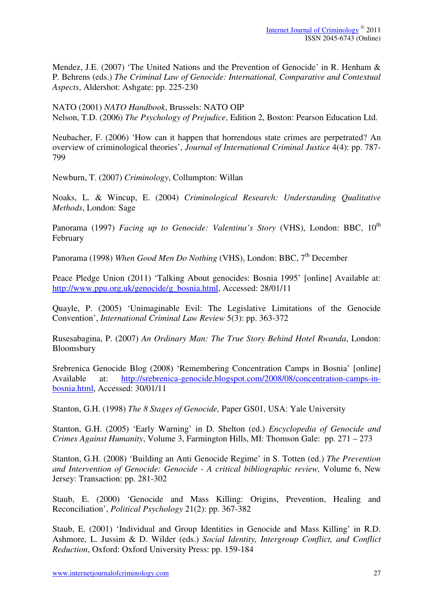Mendez, J.E. (2007) 'The United Nations and the Prevention of Genocide' in R. Henham & P. Behrens (eds.) *The Criminal Law of Genocide: International, Comparative and Contextual Aspects*, Aldershot: Ashgate: pp. 225-230

NATO (2001) *NATO Handbook*, Brussels: NATO OIP Nelson, T.D. (2006) *The Psychology of Prejudice*, Edition 2, Boston: Pearson Education Ltd.

Neubacher, F. (2006) 'How can it happen that horrendous state crimes are perpetrated? An overview of criminological theories', *Journal of International Criminal Justice* 4(4): pp. 787- 799

Newburn, T. (2007) *Criminology*, Collumpton: Willan

Noaks, L. & Wincup, E. (2004) *Criminological Research: Understanding Qualitative Methods*, London: Sage

Panorama (1997) *Facing up to Genocide: Valentina's Story* (VHS), London: BBC, 10<sup>th</sup> February

Panorama (1998) *When Good Men Do Nothing* (VHS), London: BBC, 7<sup>th</sup> December

Peace Pledge Union (2011) 'Talking About genocides: Bosnia 1995' [online] Available at: http://www.ppu.org.uk/genocide/g\_bosnia.html, Accessed: 28/01/11

Quayle, P. (2005) 'Unimaginable Evil: The Legislative Limitations of the Genocide Convention', *International Criminal Law Review* 5(3): pp. 363-372

Rusesabagina, P. (2007) *An Ordinary Man: The True Story Behind Hotel Rwanda*, London: Bloomsbury

Srebrenica Genocide Blog (2008) 'Remembering Concentration Camps in Bosnia' [online] Available at: http://srebrenica-genocide.blogspot.com/2008/08/concentration-camps-inbosnia.html, Accessed: 30/01/11

Stanton, G.H. (1998) *The 8 Stages of Genocide,* Paper GS01, USA: Yale University

Stanton, G.H. (2005) 'Early Warning' in D. Shelton (ed.) *Encyclopedia of Genocide and Crimes Against Humanity*, Volume 3, Farmington Hills, MI: Thomson Gale: pp. 271 – 273

Stanton, G.H. (2008) 'Building an Anti Genocide Regime' in S. Totten (ed.) *The Prevention and Intervention of Genocide: Genocide - A critical bibliographic review,* Volume 6, New Jersey: Transaction: pp. 281-302

Staub, E. (2000) 'Genocide and Mass Killing: Origins, Prevention, Healing and Reconciliation', *Political Psychology* 21(2): pp. 367-382

Staub, E. (2001) 'Individual and Group Identities in Genocide and Mass Killing' in R.D. Ashmore, L. Jussim & D. Wilder (eds.) *Social Identity, Intergroup Conflict, and Conflict Reduction*, Oxford: Oxford University Press: pp. 159-184